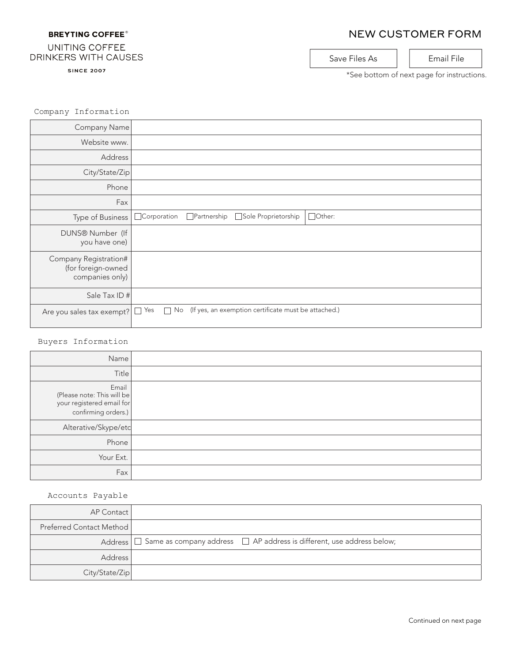### **BREYTING COFFEE®**

# NEW CUSTOMER FORM

#### UNITING COFFEE DRINKERS WITH CAUSES

**SINCE 2007** 

Company Information

Save Files As | | Email File

\*See bottom of next page for instructions.

| Company Name                                                   |                    |             |                                                      |               |
|----------------------------------------------------------------|--------------------|-------------|------------------------------------------------------|---------------|
| Website www.                                                   |                    |             |                                                      |               |
| Address                                                        |                    |             |                                                      |               |
| City/State/Zip                                                 |                    |             |                                                      |               |
| Phone                                                          |                    |             |                                                      |               |
| Fax                                                            |                    |             |                                                      |               |
| Type of Business                                               | $\Box$ Corporation | Partnership | Sole Proprietorship                                  | $\Box$ Other: |
| DUNS® Number (If<br>you have one)                              |                    |             |                                                      |               |
| Company Registration#<br>(for foreign-owned<br>companies only) |                    |             |                                                      |               |
| Sale Tax ID #                                                  |                    |             |                                                      |               |
| Are you sales tax exempt?                                      | Yes<br>No          |             | (If yes, an exemption certificate must be attached.) |               |

#### Buyers Information

| Name                                                                                    |  |
|-----------------------------------------------------------------------------------------|--|
| Title                                                                                   |  |
| Email<br>(Please note: This will be<br>your registered email for<br>confirming orders.) |  |
| Alterative/Skype/etc                                                                    |  |
| Phone                                                                                   |  |
| Your Ext.                                                                               |  |
| Fax                                                                                     |  |

#### Accounts Payable

| AP Contact               |                                                                                           |
|--------------------------|-------------------------------------------------------------------------------------------|
| Preferred Contact Method |                                                                                           |
|                          | Address $\Box$ Same as company address $\Box$ AP address is different, use address below; |
| <b>Address</b>           |                                                                                           |
| City/State/Zip           |                                                                                           |